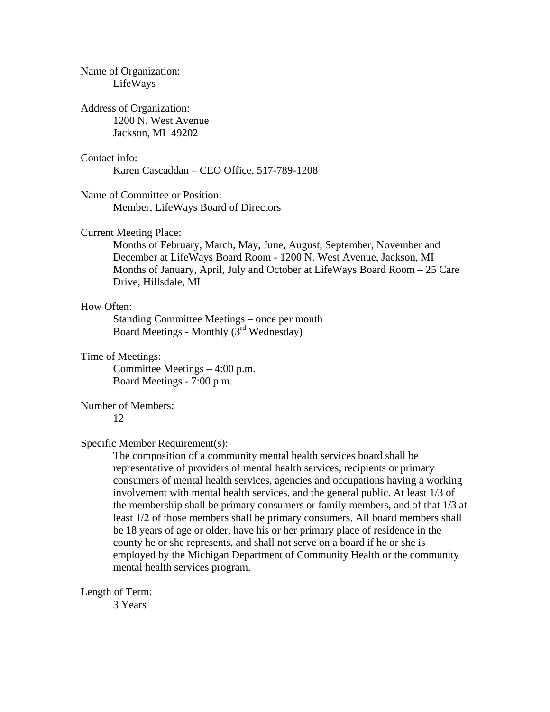| Name of Organization:<br>LifeWays                                                                                                                                                                                                                                                                                                                                                                                                                                                                                                                                                                                                                                                                                                                                                                                  |
|--------------------------------------------------------------------------------------------------------------------------------------------------------------------------------------------------------------------------------------------------------------------------------------------------------------------------------------------------------------------------------------------------------------------------------------------------------------------------------------------------------------------------------------------------------------------------------------------------------------------------------------------------------------------------------------------------------------------------------------------------------------------------------------------------------------------|
| <b>Address of Organization:</b><br>1200 N. West Avenue<br>Jackson, MI 49202                                                                                                                                                                                                                                                                                                                                                                                                                                                                                                                                                                                                                                                                                                                                        |
| Contact info:<br>Karen Cascaddan – CEO Office, 517-789-1208                                                                                                                                                                                                                                                                                                                                                                                                                                                                                                                                                                                                                                                                                                                                                        |
| Name of Committee or Position:<br>Member, LifeWays Board of Directors                                                                                                                                                                                                                                                                                                                                                                                                                                                                                                                                                                                                                                                                                                                                              |
| <b>Current Meeting Place:</b><br>Months of February, March, May, June, August, September, November and<br>December at LifeWays Board Room - 1200 N. West Avenue, Jackson, MI<br>Months of January, April, July and October at LifeWays Board Room – 25 Care<br>Drive, Hillsdale, MI                                                                                                                                                                                                                                                                                                                                                                                                                                                                                                                                |
| How Often:<br>Standing Committee Meetings – once per month<br>Board Meetings - Monthly (3 <sup>rd</sup> Wednesday)                                                                                                                                                                                                                                                                                                                                                                                                                                                                                                                                                                                                                                                                                                 |
| Time of Meetings:<br>Committee Meetings $-4:00$ p.m.<br>Board Meetings - 7:00 p.m.                                                                                                                                                                                                                                                                                                                                                                                                                                                                                                                                                                                                                                                                                                                                 |
| <b>Number of Members:</b><br>12                                                                                                                                                                                                                                                                                                                                                                                                                                                                                                                                                                                                                                                                                                                                                                                    |
| Specific Member Requirement(s):<br>The composition of a community mental health services board shall be<br>representative of providers of mental health services, recipients or primary<br>consumers of mental health services, agencies and occupations having a working<br>involvement with mental health services, and the general public. At least 1/3 of<br>the membership shall be primary consumers or family members, and of that 1/3 at<br>least 1/2 of those members shall be primary consumers. All board members shall<br>be 18 years of age or older, have his or her primary place of residence in the<br>county he or she represents, and shall not serve on a board if he or she is<br>employed by the Michigan Department of Community Health or the community<br>mental health services program. |
| Length of Term:                                                                                                                                                                                                                                                                                                                                                                                                                                                                                                                                                                                                                                                                                                                                                                                                    |

3 Years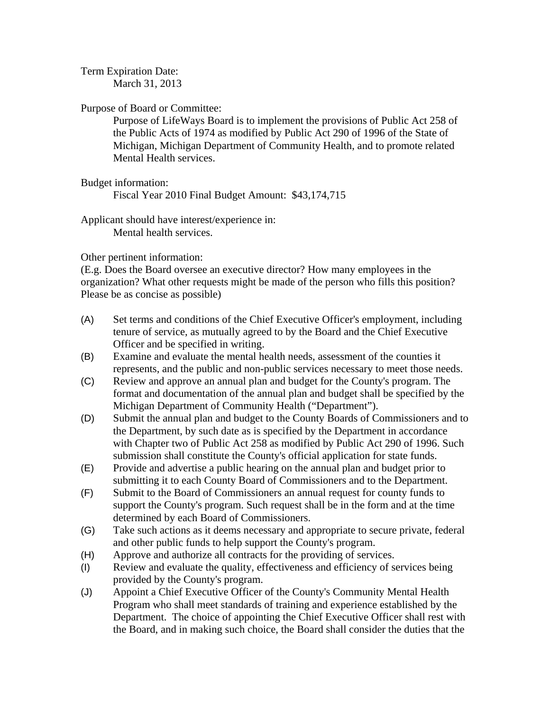Term Expiration Date:

March 31, 2013

Purpose of Board or Committee:

Purpose of LifeWays Board is to implement the provisions of Public Act 258 of the Public Acts of 1974 as modified by Public Act 290 of 1996 of the State of Michigan, Michigan Department of Community Health, and to promote related Mental Health services.

Budget information:

Fiscal Year 2010 Final Budget Amount: \$43,174,715

Applicant should have interest/experience in: Mental health services.

Other pertinent information:

(E.g. Does the Board oversee an executive director? How many employees in the organization? What other requests might be made of the person who fills this position? Please be as concise as possible)

- (A) Set terms and conditions of the Chief Executive Officer's employment, including tenure of service, as mutually agreed to by the Board and the Chief Executive Officer and be specified in writing.
- (B) Examine and evaluate the mental health needs, assessment of the counties it represents, and the public and non-public services necessary to meet those needs.
- (C) Review and approve an annual plan and budget for the County's program. The format and documentation of the annual plan and budget shall be specified by the Michigan Department of Community Health ("Department").
- (D) Submit the annual plan and budget to the County Boards of Commissioners and to the Department, by such date as is specified by the Department in accordance with Chapter two of Public Act 258 as modified by Public Act 290 of 1996. Such submission shall constitute the County's official application for state funds.
- (E) Provide and advertise a public hearing on the annual plan and budget prior to submitting it to each County Board of Commissioners and to the Department.
- (F) Submit to the Board of Commissioners an annual request for county funds to support the County's program. Such request shall be in the form and at the time determined by each Board of Commissioners.
- (G) Take such actions as it deems necessary and appropriate to secure private, federal and other public funds to help support the County's program.
- (H) Approve and authorize all contracts for the providing of services.
- (I) Review and evaluate the quality, effectiveness and efficiency of services being provided by the County's program.
- (J) Appoint a Chief Executive Officer of the County's Community Mental Health Program who shall meet standards of training and experience established by the Department. The choice of appointing the Chief Executive Officer shall rest with the Board, and in making such choice, the Board shall consider the duties that the